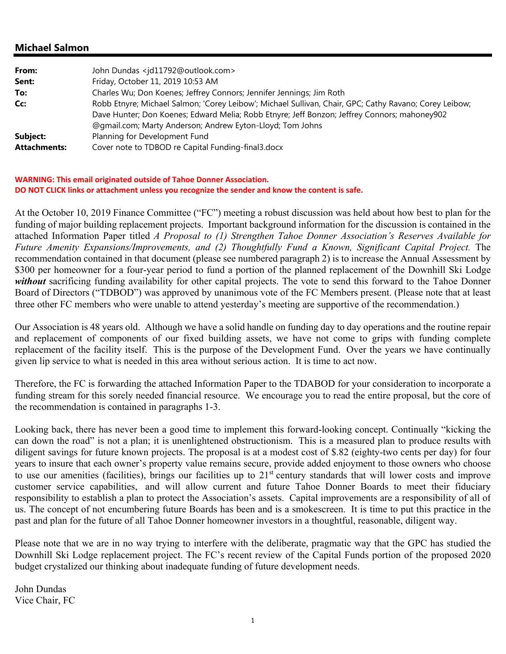### **Michael Salmon**

| From:               | John Dundas <jd11792@outlook.com></jd11792@outlook.com>                                                |
|---------------------|--------------------------------------------------------------------------------------------------------|
| Sent:               | Friday, October 11, 2019 10:53 AM                                                                      |
| To:                 | Charles Wu; Don Koenes; Jeffrey Connors; Jennifer Jennings; Jim Roth                                   |
| Cc:                 | Robb Etnyre; Michael Salmon; 'Corey Leibow'; Michael Sullivan, Chair, GPC; Cathy Ravano; Corey Leibow; |
|                     | Dave Hunter; Don Koenes; Edward Melia; Robb Etnyre; Jeff Bonzon; Jeffrey Connors; mahoney902           |
|                     | @gmail.com; Marty Anderson; Andrew Eyton-Lloyd; Tom Johns                                              |
| Subject:            | Planning for Development Fund                                                                          |
| <b>Attachments:</b> | Cover note to TDBOD re Capital Funding-final3.docx                                                     |

#### **WARNING: This email originated outside of Tahoe Donner Association. DO NOT CLICK links or attachment unless you recognize the sender and know the content is safe.**

At the October 10, 2019 Finance Committee ("FC") meeting a robust discussion was held about how best to plan for the funding of major building replacement projects. Important background information for the discussion is contained in the attached Information Paper titled *A Proposal to (1) Strengthen Tahoe Donner Association's Reserves Available for Future Amenity Expansions/Improvements, and (2) Thoughtfully Fund a Known, Significant Capital Project.* The recommendation contained in that document (please see numbered paragraph 2) is to increase the Annual Assessment by \$300 per homeowner for a four-year period to fund a portion of the planned replacement of the Downhill Ski Lodge *without* sacrificing funding availability for other capital projects. The vote to send this forward to the Tahoe Donner Board of Directors ("TDBOD") was approved by unanimous vote of the FC Members present. (Please note that at least three other FC members who were unable to attend yesterday's meeting are supportive of the recommendation.)

Our Association is 48 years old. Although we have a solid handle on funding day to day operations and the routine repair and replacement of components of our fixed building assets, we have not come to grips with funding complete replacement of the facility itself. This is the purpose of the Development Fund. Over the years we have continually given lip service to what is needed in this area without serious action. It is time to act now.

Therefore, the FC is forwarding the attached Information Paper to the TDABOD for your consideration to incorporate a funding stream for this sorely needed financial resource. We encourage you to read the entire proposal, but the core of the recommendation is contained in paragraphs 1-3.

Looking back, there has never been a good time to implement this forward-looking concept. Continually "kicking the can down the road" is not a plan; it is unenlightened obstructionism. This is a measured plan to produce results with diligent savings for future known projects. The proposal is at a modest cost of \$.82 (eighty-two cents per day) for four years to insure that each owner's property value remains secure, provide added enjoyment to those owners who choose to use our amenities (facilities), brings our facilities up to  $21<sup>st</sup>$  century standards that will lower costs and improve customer service capabilities, and will allow current and future Tahoe Donner Boards to meet their fiduciary responsibility to establish a plan to protect the Association's assets. Capital improvements are a responsibility of all of us. The concept of not encumbering future Boards has been and is a smokescreen. It is time to put this practice in the past and plan for the future of all Tahoe Donner homeowner investors in a thoughtful, reasonable, diligent way.

Please note that we are in no way trying to interfere with the deliberate, pragmatic way that the GPC has studied the Downhill Ski Lodge replacement project. The FC's recent review of the Capital Funds portion of the proposed 2020 budget crystalized our thinking about inadequate funding of future development needs.

John Dundas Vice Chair, FC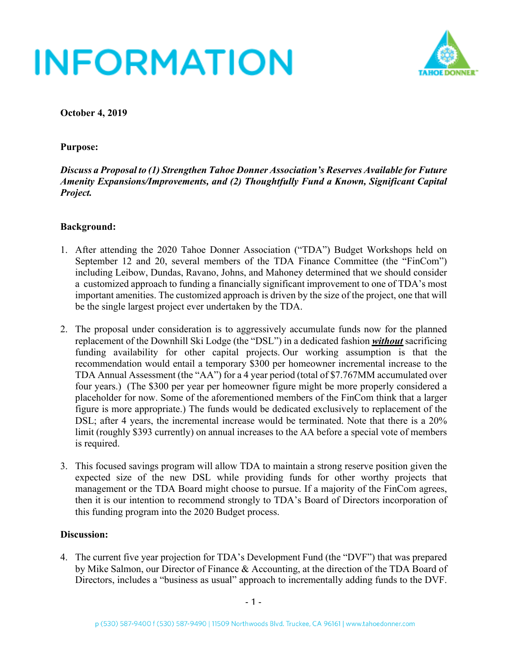

**October 4, 2019**

### **Purpose:**

*Discuss a Proposal to (1) Strengthen Tahoe Donner Association's Reserves Available for Future Amenity Expansions/Improvements, and (2) Thoughtfully Fund a Known, Significant Capital Project.*

#### **Background:**

- 1. After attending the 2020 Tahoe Donner Association ("TDA") Budget Workshops held on September 12 and 20, several members of the TDA Finance Committee (the "FinCom") including Leibow, Dundas, Ravano, Johns, and Mahoney determined that we should consider a customized approach to funding a financially significant improvement to one of TDA's most important amenities. The customized approach is driven by the size of the project, one that will be the single largest project ever undertaken by the TDA.
- 2. The proposal under consideration is to aggressively accumulate funds now for the planned replacement of the Downhill Ski Lodge (the "DSL") in a dedicated fashion *without* sacrificing funding availability for other capital projects. Our working assumption is that the recommendation would entail a temporary \$300 per homeowner incremental increase to the TDA Annual Assessment (the "AA") for a 4 year period (total of \$7.767MM accumulated over four years.) (The \$300 per year per homeowner figure might be more properly considered a placeholder for now. Some of the aforementioned members of the FinCom think that a larger figure is more appropriate.) The funds would be dedicated exclusively to replacement of the DSL; after 4 years, the incremental increase would be terminated. Note that there is a 20% limit (roughly \$393 currently) on annual increases to the AA before a special vote of members is required.
- 3. This focused savings program will allow TDA to maintain a strong reserve position given the expected size of the new DSL while providing funds for other worthy projects that management or the TDA Board might choose to pursue. If a majority of the FinCom agrees, then it is our intention to recommend strongly to TDA's Board of Directors incorporation of this funding program into the 2020 Budget process.

#### **Discussion:**

4. The current five year projection for TDA's Development Fund (the "DVF") that was prepared by Mike Salmon, our Director of Finance & Accounting, at the direction of the TDA Board of Directors, includes a "business as usual" approach to incrementally adding funds to the DVF.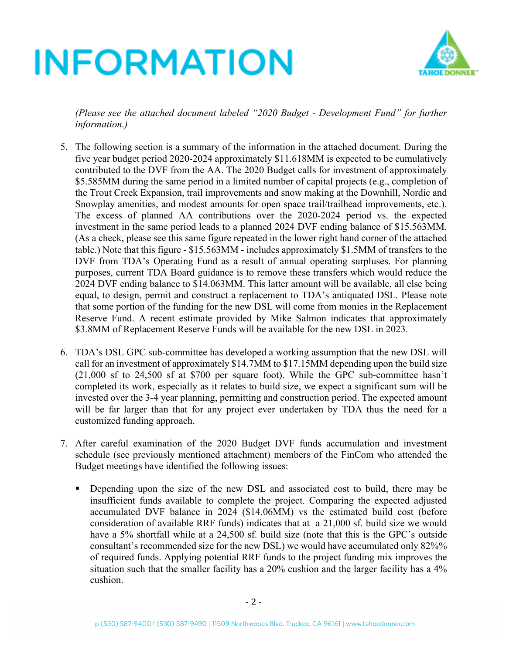

*(Please see the attached document labeled "2020 Budget - Development Fund" for further information.)*

- 5. The following section is a summary of the information in the attached document. During the five year budget period 2020-2024 approximately \$11.618MM is expected to be cumulatively contributed to the DVF from the AA. The 2020 Budget calls for investment of approximately \$5.585MM during the same period in a limited number of capital projects (e.g., completion of the Trout Creek Expansion, trail improvements and snow making at the Downhill, Nordic and Snowplay amenities, and modest amounts for open space trail/trailhead improvements, etc.). The excess of planned AA contributions over the 2020-2024 period vs. the expected investment in the same period leads to a planned 2024 DVF ending balance of \$15.563MM. (As a check, please see this same figure repeated in the lower right hand corner of the attached table.) Note that this figure - \$15.563MM - includes approximately \$1.5MM of transfers to the DVF from TDA's Operating Fund as a result of annual operating surpluses. For planning purposes, current TDA Board guidance is to remove these transfers which would reduce the 2024 DVF ending balance to \$14.063MM. This latter amount will be available, all else being equal, to design, permit and construct a replacement to TDA's antiquated DSL. Please note that some portion of the funding for the new DSL will come from monies in the Replacement Reserve Fund. A recent estimate provided by Mike Salmon indicates that approximately \$3.8MM of Replacement Reserve Funds will be available for the new DSL in 2023.
- 6. TDA's DSL GPC sub-committee has developed a working assumption that the new DSL will call for an investment of approximately \$14.7MM to \$17.15MM depending upon the build size (21,000 sf to 24,500 sf at \$700 per square foot). While the GPC sub-committee hasn't completed its work, especially as it relates to build size, we expect a significant sum will be invested over the 3-4 year planning, permitting and construction period. The expected amount will be far larger than that for any project ever undertaken by TDA thus the need for a customized funding approach.
- 7. After careful examination of the 2020 Budget DVF funds accumulation and investment schedule (see previously mentioned attachment) members of the FinCom who attended the Budget meetings have identified the following issues:
	- § Depending upon the size of the new DSL and associated cost to build, there may be insufficient funds available to complete the project. Comparing the expected adjusted accumulated DVF balance in 2024 (\$14.06MM) vs the estimated build cost (before consideration of available RRF funds) indicates that at a 21,000 sf. build size we would have a 5% shortfall while at a 24,500 sf. build size (note that this is the GPC's outside consultant's recommended size for the new DSL) we would have accumulated only 82%% of required funds. Applying potential RRF funds to the project funding mix improves the situation such that the smaller facility has a 20% cushion and the larger facility has a 4% cushion.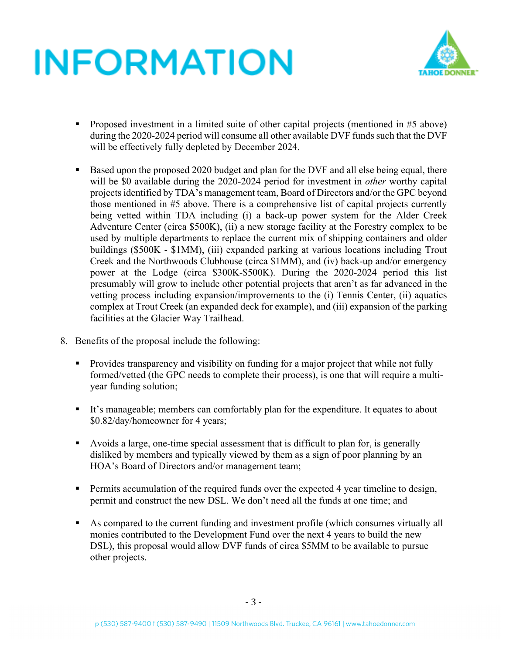

- Proposed investment in a limited suite of other capital projects (mentioned in #5 above) during the 2020-2024 period will consume all other available DVF funds such that the DVF will be effectively fully depleted by December 2024.
- Based upon the proposed 2020 budget and plan for the DVF and all else being equal, there will be \$0 available during the 2020-2024 period for investment in *other* worthy capital projects identified by TDA's management team, Board of Directors and/or the GPC beyond those mentioned in #5 above. There is a comprehensive list of capital projects currently being vetted within TDA including (i) a back-up power system for the Alder Creek Adventure Center (circa \$500K), (ii) a new storage facility at the Forestry complex to be used by multiple departments to replace the current mix of shipping containers and older buildings (\$500K - \$1MM), (iii) expanded parking at various locations including Trout Creek and the Northwoods Clubhouse (circa \$1MM), and (iv) back-up and/or emergency power at the Lodge (circa \$300K-\$500K). During the 2020-2024 period this list presumably will grow to include other potential projects that aren't as far advanced in the vetting process including expansion/improvements to the (i) Tennis Center, (ii) aquatics complex at Trout Creek (an expanded deck for example), and (iii) expansion of the parking facilities at the Glacier Way Trailhead.
- 8. Benefits of the proposal include the following:
	- Provides transparency and visibility on funding for a major project that while not fully formed/vetted (the GPC needs to complete their process), is one that will require a multiyear funding solution;
	- § It's manageable; members can comfortably plan for the expenditure. It equates to about \$0.82/day/homeowner for 4 years;
	- § Avoids a large, one-time special assessment that is difficult to plan for, is generally disliked by members and typically viewed by them as a sign of poor planning by an HOA's Board of Directors and/or management team;
	- Permits accumulation of the required funds over the expected 4 year timeline to design, permit and construct the new DSL. We don't need all the funds at one time; and
	- § As compared to the current funding and investment profile (which consumes virtually all monies contributed to the Development Fund over the next 4 years to build the new DSL), this proposal would allow DVF funds of circa \$5MM to be available to pursue other projects.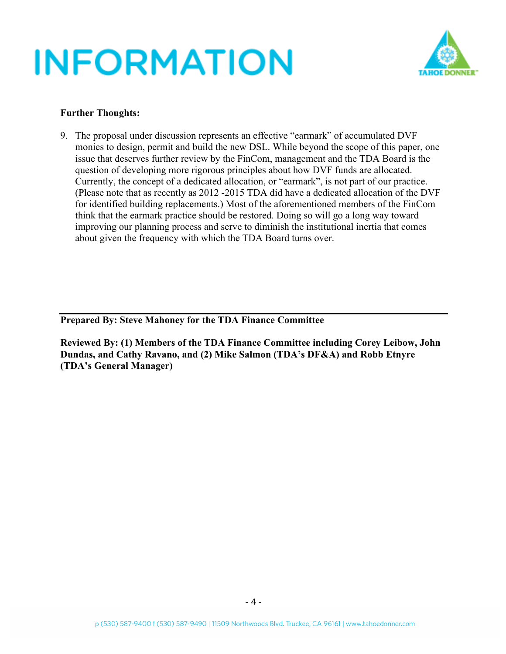

### **Further Thoughts:**

9. The proposal under discussion represents an effective "earmark" of accumulated DVF monies to design, permit and build the new DSL. While beyond the scope of this paper, one issue that deserves further review by the FinCom, management and the TDA Board is the question of developing more rigorous principles about how DVF funds are allocated. Currently, the concept of a dedicated allocation, or "earmark", is not part of our practice. (Please note that as recently as 2012 -2015 TDA did have a dedicated allocation of the DVF for identified building replacements.) Most of the aforementioned members of the FinCom think that the earmark practice should be restored. Doing so will go a long way toward improving our planning process and serve to diminish the institutional inertia that comes about given the frequency with which the TDA Board turns over.

**Prepared By: Steve Mahoney for the TDA Finance Committee**

**Reviewed By: (1) Members of the TDA Finance Committee including Corey Leibow, John Dundas, and Cathy Ravano, and (2) Mike Salmon (TDA's DF&A) and Robb Etnyre (TDA's General Manager)**